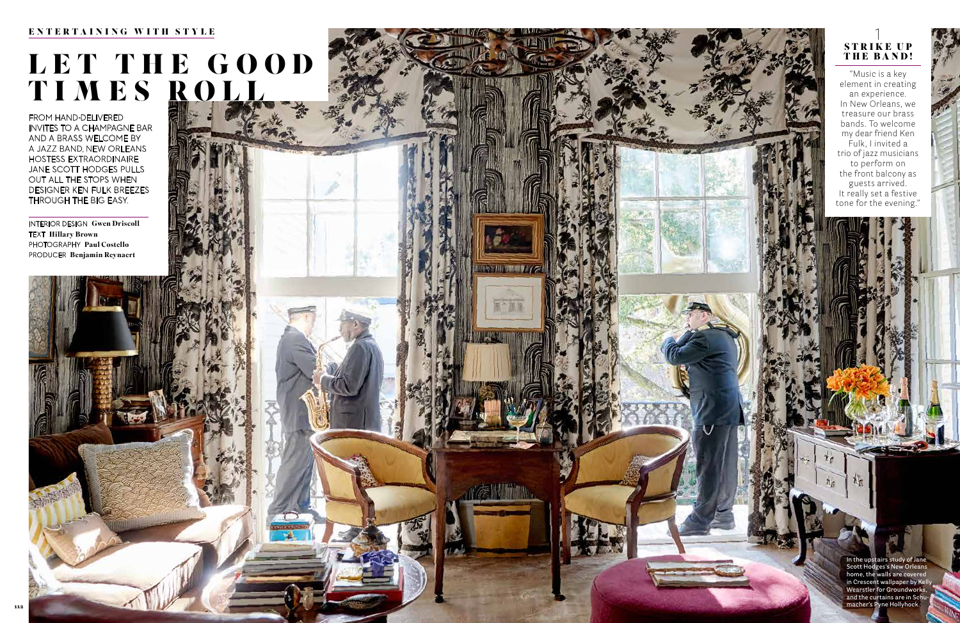INTERIOR DESIGN Gwen Driscoll TEXT Hillary Brown PHOTOGRAPHY Paul Costello PRODUCER Benjamin Reynaert

# LET THE GOOD TIMES ROLL

**INSTALLING IN THE INTERNATIONAL SECTION** 

出場補前

### ENTERTAINING WITH STYLE

FROM HAND-DELIVERED INVITES TO A CHAMPAGNE BAR AND A BRASS WELCOME BY A JAZZ BAND, NEW ORLEANS HOSTESS EXTRAORDINAIRE JANE SCOTT HODGES PULLS OUT ALL THE STOPS WHEN DESIGNER KEN FULK BREEZES THROUGH THE BIG EASY.

"Music is a key element in creating an experience. In New Orleans, we treasure our brass bands. To welcome my dear friend Ken Fulk, I invited a trio of jazz musicians to perform on the front balcony as guests arrived. It really set a festive tone for the evening."



**In the upstairs study of Jane Scott Hodges's New Orleans home, the walls are covered in Crescent wallpaper by Kelly Wearstler for Groundworks, and the curtains are in Schumacher's Pyne Hollyhock.**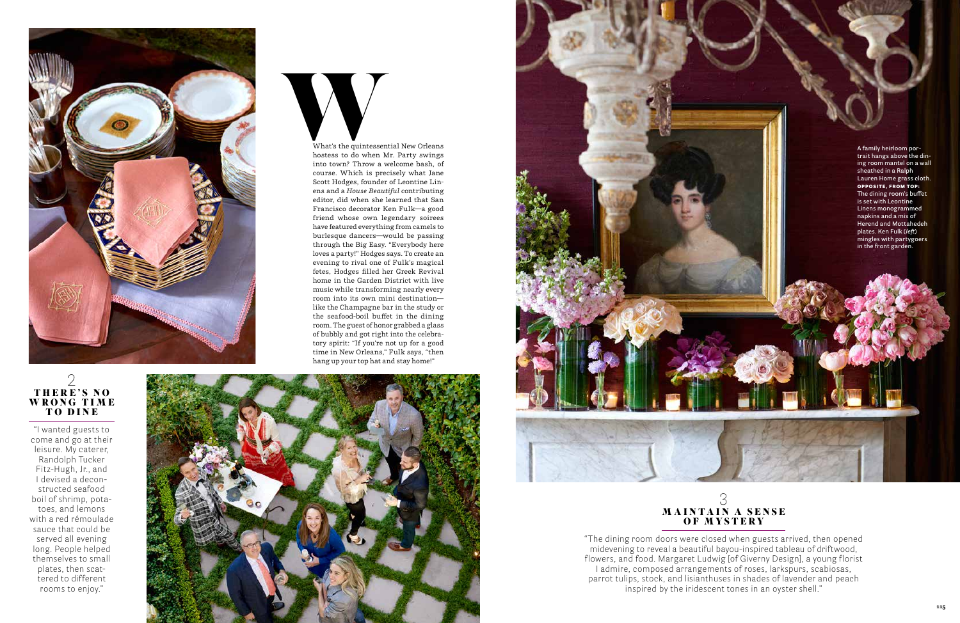



"I wanted guests to come and go at their leisure. My caterer, Randolph Tucker Fitz-Hugh, Jr., and I devised a decon structed seafood boil of shrimp, pota toes, and lemons with a red rémoulade sauce that could be served all evening long. People helped themselves to small plates, then scat tered to different rooms to enjoy."





"The dining room doors were closed when guests arrived, then opened midevening to reveal a beautiful bayou-inspired tableau of driftwood, flowers, and food. Margaret Ludwig [of Giverny Design], a young florist I admire, composed arrangements of roses, larkspurs, scabiosas, parrot tulips, stock, and lisianthuses in shades of lavender and peach inspired by the iridescent tones in an oyster shell."

### 2 THERE'S NO WRONG TIME TO DINE



**A family heirloom por trait hangs above the din ing room mantel on a wall sheathed in a Ralph Lauren Home grass cloth.**  OPPOSITE, FROM TOP: **The dining room's buffet is set with Leontine Linens monogrammed napkins and a mix of Herend and Mottahedeh plates. Ken Fulk (***left***) mingles with partygoers in the front garden.**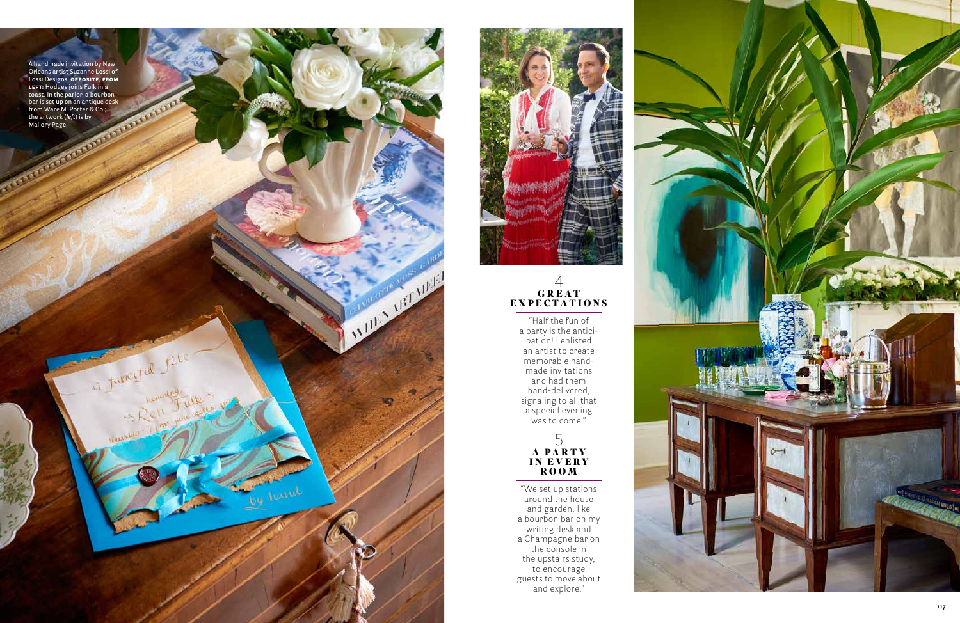

"We set up stations around the house and garden, like a bourbon bar on my writing desk and a Champagne bar on the console in the upstairs study, to encourage guests to move about<br>and explore." 4<br> **GREAT**<br> **ECTATI**<br>
Half the funce<br>
arty is the antition! I enliste<br>
artist to create<br>
and had them<br>
and had them<br>
and-delivere<br>
maling to all t<br>
special evening<br>
was to come.<br>
5<br> **A PARTY<br>
ROOM**<br>
e set up station<br>
e set

"Half the fun of a party is the antici pation! I enlisted an artist to create memorable hand made invitations and had them hand-delivered, signaling to all that a special evening was to come."

### $\overline{4}$ G R E A T EX PECTATIONS

White Marie Meridian

hand



**A handmade invitation by New Orleans artist Suzanne Lossi of Lossi Designs.** OPPOSITE, FROM LEFT: **Hodges joins Fulk in a toast. In the parlor, a bourbon bar is set up on an antique desk from Ware M. Porter & Co.; the artwork (***left***) is by Mallory Page.** 

a Juneyra Jele